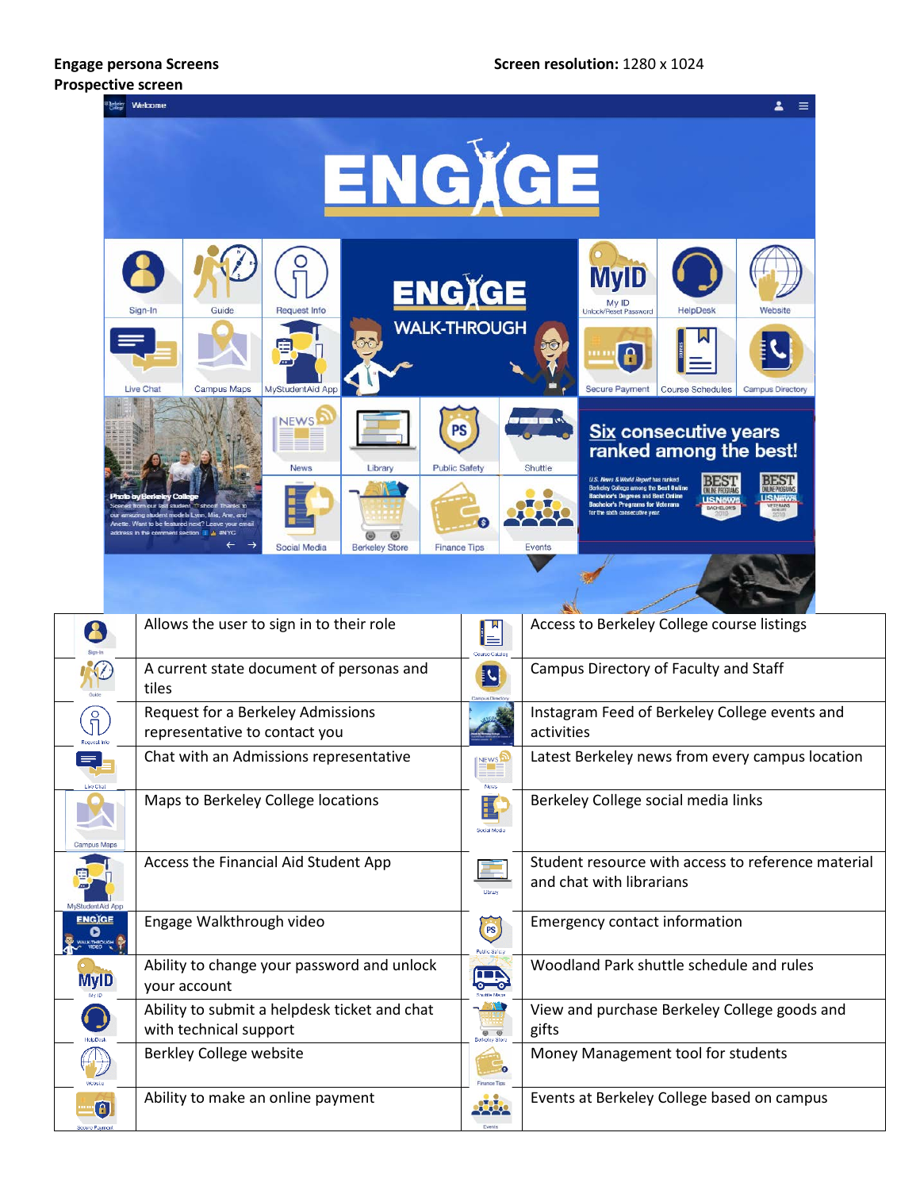# **Prospective screen**

#### **Engage persona Screens Screen resolution:** 1280 x 1024



|                                                |                                                                        | $\blacksquare$           |                                                                                |
|------------------------------------------------|------------------------------------------------------------------------|--------------------------|--------------------------------------------------------------------------------|
|                                                | A current state document of personas and<br>tiles                      | I.                       | Campus Directory of Faculty and Staff                                          |
| $\int_{\mathrm{J}}$                            | Request for a Berkeley Admissions<br>representative to contact you     |                          | Instagram Feed of Berkeley College events and<br>activities                    |
| <b>Live Chal</b>                               | Chat with an Admissions representative                                 | NEWS <sup></sup>         | Latest Berkeley news from every campus location                                |
| <b>Campus Maps</b>                             | Maps to Berkeley College locations                                     | <b>Social Medi</b>       | Berkeley College social media links                                            |
| MyStudentAid Ar                                | Access the Financial Aid Student App                                   | Library                  | Student resource with access to reference material<br>and chat with librarians |
| ENGIGE<br><b>UCTHROUGH</b>                     | Engage Walkthrough video                                               | <b>PS</b><br>Public Safe | <b>Emergency contact information</b>                                           |
| <b>MyID</b>                                    | Ability to change your password and unlock<br>your account             |                          | Woodland Park shuttle schedule and rules                                       |
|                                                | Ability to submit a helpdesk ticket and chat<br>with technical support |                          | View and purchase Berkeley College goods and<br>gifts                          |
|                                                | Berkley College website                                                |                          | Money Management tool for students                                             |
| $\textcolor{red}{\textbf{a}}$<br>Secure Paymer | Ability to make an online payment                                      |                          | Events at Berkeley College based on campus                                     |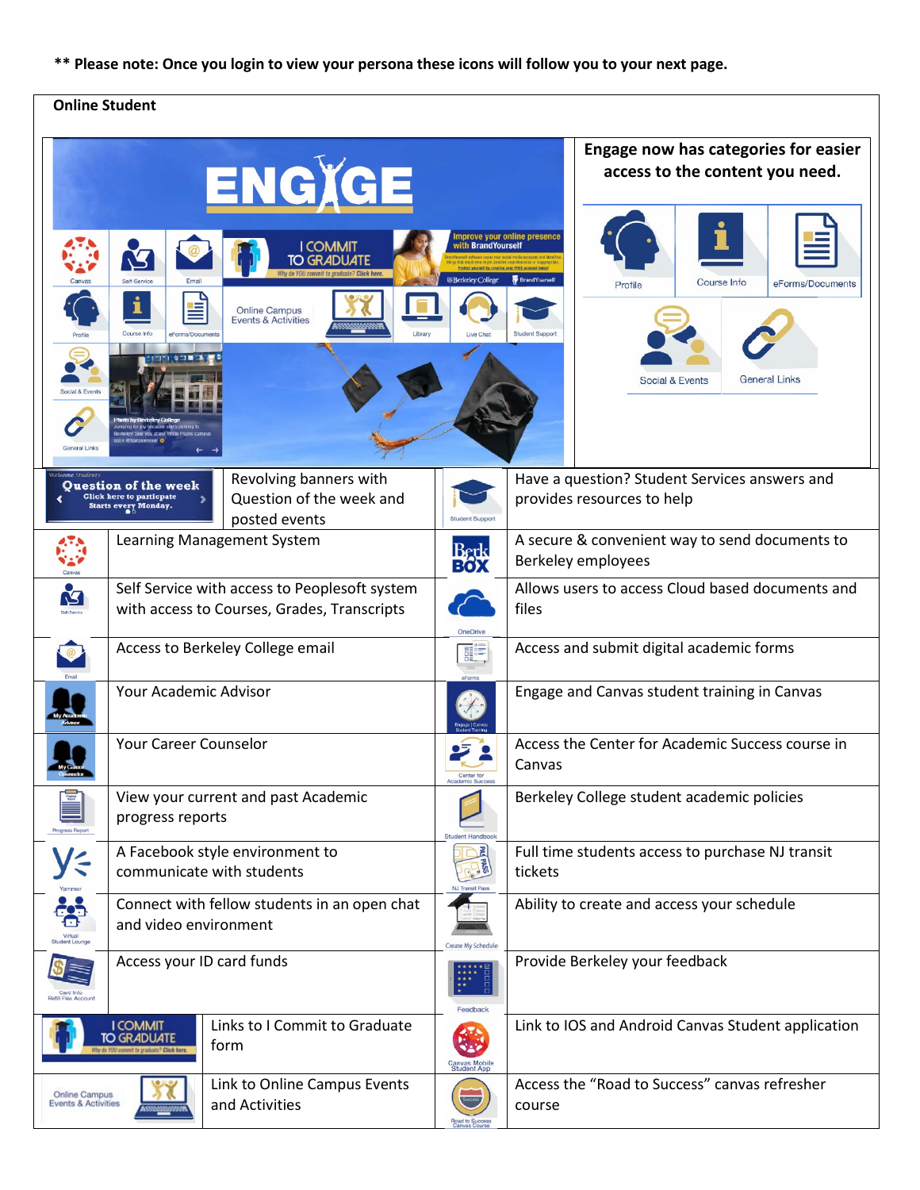## **\*\* Please note: Once you login to view your persona these icons will follow you to your next page.**

## **Online Student**

|                                                                                                          | 1                                                                                      | ENGIGE<br><b>I COMMIT</b><br><b>TO GRADUATE</b><br><b>Online Campus</b><br><b>Events &amp; Activities</b> | with BrandYourself<br><b>Berkeley College</b> | Engage now has categories for easier<br>access to the content you need.<br>mprove your online presence<br><b>BrandYourself</b><br>Course Info<br>eForms/Documents<br>Profile<br><b>Student Support</b><br><b>General Links</b><br><b>Social &amp; Events</b> |  |  |
|----------------------------------------------------------------------------------------------------------|----------------------------------------------------------------------------------------|-----------------------------------------------------------------------------------------------------------|-----------------------------------------------|--------------------------------------------------------------------------------------------------------------------------------------------------------------------------------------------------------------------------------------------------------------|--|--|
|                                                                                                          |                                                                                        |                                                                                                           |                                               |                                                                                                                                                                                                                                                              |  |  |
|                                                                                                          | <b>Ouestion of the week</b><br><b>Click here to particpate</b><br>Starts every Monday. | Revolving banners with<br>Question of the week and<br>posted events                                       | Student Sunn                                  | Have a question? Student Services answers and<br>provides resources to help                                                                                                                                                                                  |  |  |
|                                                                                                          | Learning Management System                                                             |                                                                                                           |                                               | A secure & convenient way to send documents to<br>Berkeley employees                                                                                                                                                                                         |  |  |
|                                                                                                          |                                                                                        | Self Service with access to Peoplesoft system<br>with access to Courses, Grades, Transcripts              | <b>OneDrive</b>                               | Allows users to access Cloud based documents and<br>files                                                                                                                                                                                                    |  |  |
|                                                                                                          |                                                                                        | Access to Berkeley College email                                                                          |                                               | Access and submit digital academic forms                                                                                                                                                                                                                     |  |  |
|                                                                                                          | Your Academic Advisor                                                                  |                                                                                                           |                                               | Engage and Canvas student training in Canvas                                                                                                                                                                                                                 |  |  |
|                                                                                                          | Your Career Counselor                                                                  |                                                                                                           |                                               | Access the Center for Academic Success course in<br>Canvas                                                                                                                                                                                                   |  |  |
|                                                                                                          | View your current and past Academic<br>progress reports                                |                                                                                                           |                                               | Berkeley College student academic policies                                                                                                                                                                                                                   |  |  |
|                                                                                                          | A Facebook style environment to<br>communicate with students                           |                                                                                                           |                                               | Full time students access to purchase NJ transit<br>tickets                                                                                                                                                                                                  |  |  |
|                                                                                                          | and video environment                                                                  | Connect with fellow students in an open chat                                                              | Create My Schedu                              | Ability to create and access your schedule                                                                                                                                                                                                                   |  |  |
| <b>Refili Flex Account</b>                                                                               | Access your ID card funds                                                              |                                                                                                           |                                               | Provide Berkeley your feedback                                                                                                                                                                                                                               |  |  |
| Links to I Commit to Graduate<br><b>I COMMIT</b><br><b>TO GRADUATE</b><br>form                           |                                                                                        |                                                                                                           |                                               | Link to IOS and Android Canvas Student application                                                                                                                                                                                                           |  |  |
| Link to Online Campus Events<br><b>Online Campus</b><br>and Activities<br><b>Events &amp; Activities</b> |                                                                                        |                                                                                                           |                                               | Access the "Road to Success" canvas refresher<br>course                                                                                                                                                                                                      |  |  |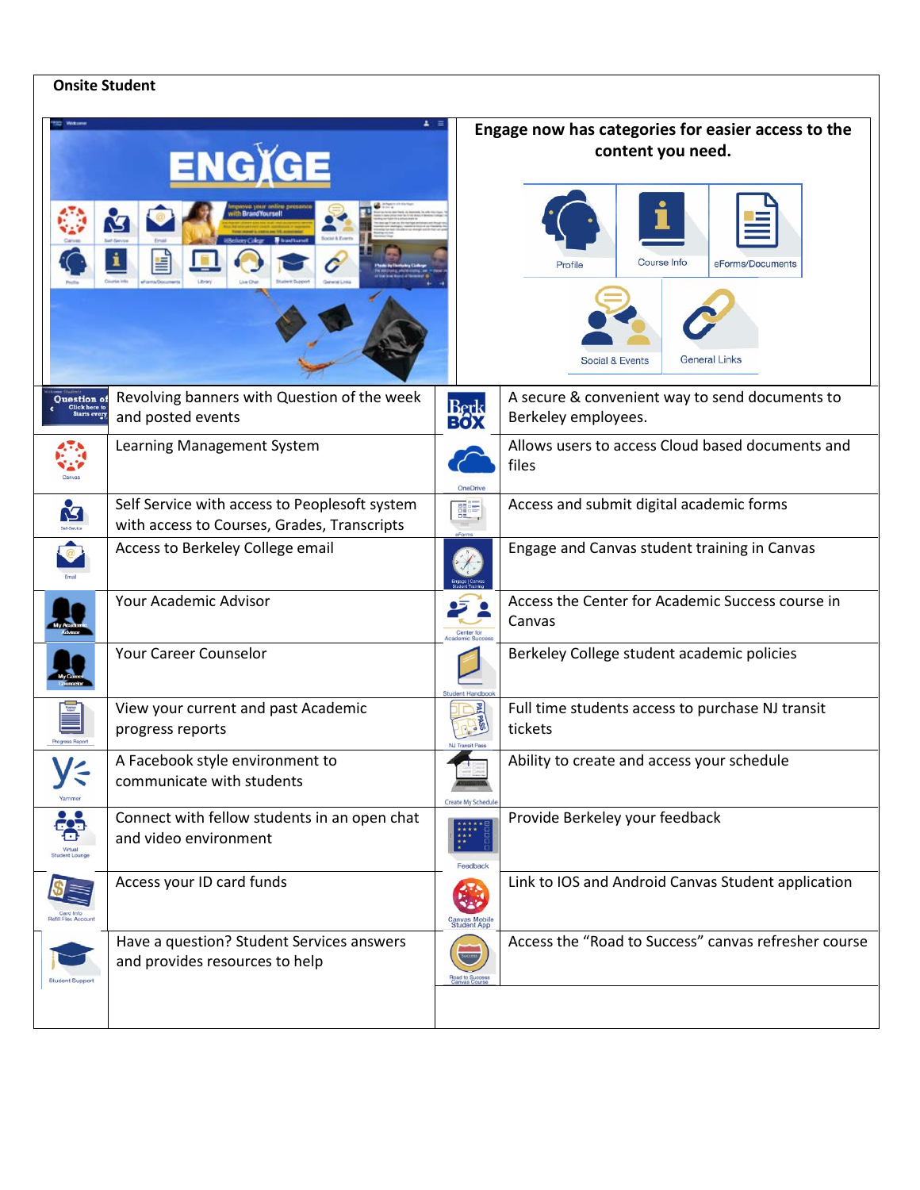## **Onsite Student**

|                                 | $\Delta$ =<br><b>ENGXGE</b><br><b>BrandYoursell</b>                                          |                              | Engage now has categories for easier access to the<br>content you need.<br>Course Info<br>eForms/Documents<br>Profile<br><b>General Links</b><br>Social & Events |  |  |
|---------------------------------|----------------------------------------------------------------------------------------------|------------------------------|------------------------------------------------------------------------------------------------------------------------------------------------------------------|--|--|
| Question of                     | Revolving banners with Question of the week<br>and posted events                             | Berk<br>BOX                  | A secure & convenient way to send documents to<br>Berkeley employees.                                                                                            |  |  |
|                                 | Learning Management System                                                                   | <b>OneDrive</b>              | Allows users to access Cloud based documents and<br>files                                                                                                        |  |  |
| M                               | Self Service with access to Peoplesoft system<br>with access to Courses, Grades, Transcripts | 體                            | Access and submit digital academic forms                                                                                                                         |  |  |
|                                 | Access to Berkeley College email                                                             |                              | Engage and Canvas student training in Canvas                                                                                                                     |  |  |
|                                 | Your Academic Advisor                                                                        | Center for                   | Access the Center for Academic Success course in<br>Canvas                                                                                                       |  |  |
|                                 | Your Career Counselor                                                                        |                              | Berkeley College student academic policies                                                                                                                       |  |  |
|                                 | View your current and past Academic<br>progress reports                                      |                              | Full time students access to purchase NJ transit<br>tickets                                                                                                      |  |  |
| Yammer                          | A Facebook style environment to<br>communicate with students                                 | Create My Schedul            | Ability to create and access your schedule                                                                                                                       |  |  |
| . Q.<br><b>Student Lound</b>    | Connect with fellow students in an open chat<br>and video environment                        | Feedback                     | Provide Berkeley your feedback                                                                                                                                   |  |  |
| Card Info<br>efili Flex Account | Access your ID card funds                                                                    | Canvas Mobile<br>Student App | Link to IOS and Android Canvas Student application                                                                                                               |  |  |
|                                 | Have a question? Student Services answers<br>and provides resources to help                  | Success<br>Road to Success   | Access the "Road to Success" canvas refresher course                                                                                                             |  |  |
|                                 |                                                                                              |                              |                                                                                                                                                                  |  |  |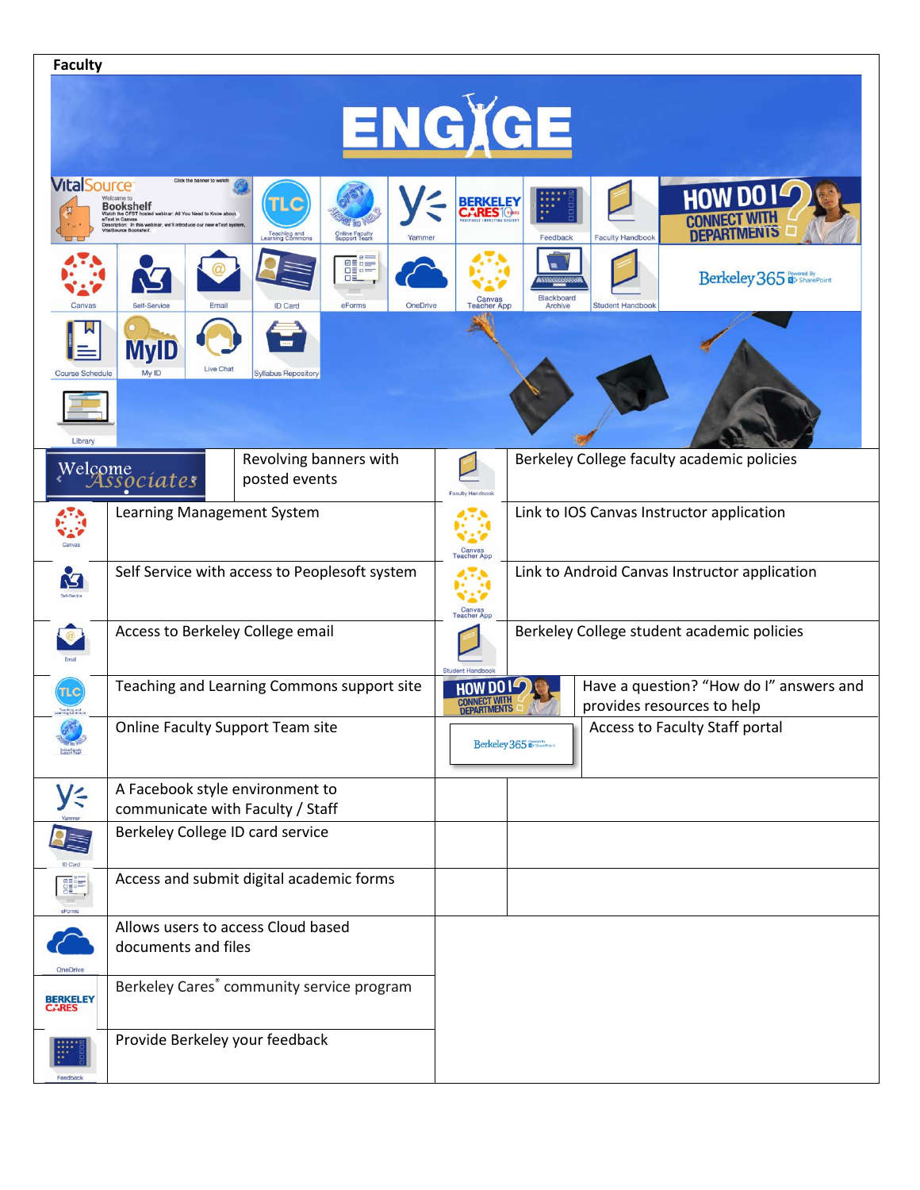| <b>Faculty</b>                      |                                                                                                                                                                                                                                                               |                                                                                                                                               |  |  |  |  |  |  |  |
|-------------------------------------|---------------------------------------------------------------------------------------------------------------------------------------------------------------------------------------------------------------------------------------------------------------|-----------------------------------------------------------------------------------------------------------------------------------------------|--|--|--|--|--|--|--|
| ENGXGE                              |                                                                                                                                                                                                                                                               |                                                                                                                                               |  |  |  |  |  |  |  |
| <b>VitalSource</b>                  | Click the banner to watch<br><b>Nelcome</b> to<br><b>Bookshelf</b><br>Watch the OFST hosted<br><b>aText in Canyas</b><br>cription: In this webinar, we'll introduce our<br><b>Online Faculty</b><br>Support Team<br>Teaching and<br>Learning Commons<br>Yamme | <b>HOW DO I</b><br><b>BERKELEY</b><br>CARES <sup>1048</sup><br><b>CONNECT WI</b><br><b>DEPARTMENTS</b><br>Feedback<br><b>Faculty Handbook</b> |  |  |  |  |  |  |  |
|                                     | <b>Ø≣</b> □≡<br><b>DED=</b><br><b>DE</b><br>OneDrive<br>Self-Service<br>ID Card<br>Email<br>eForms                                                                                                                                                            | Berkeley 365<br>Blackboard<br>Canvas<br>Teacher App<br><b>Student Handboo</b><br>Archive                                                      |  |  |  |  |  |  |  |
| <b>Course Schedule</b><br>Library   | <b>MyID</b><br>Live Chat<br>My ID<br><b>Syllabus Repository</b>                                                                                                                                                                                               |                                                                                                                                               |  |  |  |  |  |  |  |
|                                     | Revolving banners with<br>Welcome<br>Associates<br>posted events                                                                                                                                                                                              | Berkeley College faculty academic policies<br><b>Faculty Handbook</b>                                                                         |  |  |  |  |  |  |  |
|                                     | Learning Management System                                                                                                                                                                                                                                    | Link to IOS Canvas Instructor application<br>Canvas<br>Teacher App                                                                            |  |  |  |  |  |  |  |
| Ł                                   | Self Service with access to Peoplesoft system                                                                                                                                                                                                                 | Link to Android Canvas Instructor application<br>Canvas<br>Teacher App                                                                        |  |  |  |  |  |  |  |
|                                     | Access to Berkeley College email                                                                                                                                                                                                                              | Berkeley College student academic policies                                                                                                    |  |  |  |  |  |  |  |
| TLC<br>Teaching and<br>sming Commi  | Teaching and Learning Commons support site                                                                                                                                                                                                                    | Have a question? "How do I" answers and<br><b>HOW DO</b><br>provides resources to help<br><b>DEPARTMENTS</b>                                  |  |  |  |  |  |  |  |
| B<br>Online Florida<br>Guado 1 Team | Online Faculty Support Team site                                                                                                                                                                                                                              | Access to Faculty Staff portal<br>Berkeley 365                                                                                                |  |  |  |  |  |  |  |
| y≤                                  | A Facebook style environment to<br>communicate with Faculty / Staff                                                                                                                                                                                           |                                                                                                                                               |  |  |  |  |  |  |  |
| 7≡                                  | Berkeley College ID card service                                                                                                                                                                                                                              |                                                                                                                                               |  |  |  |  |  |  |  |
| 噩<br>eForm:                         | Access and submit digital academic forms                                                                                                                                                                                                                      |                                                                                                                                               |  |  |  |  |  |  |  |
| OneDrive                            | Allows users to access Cloud based<br>documents and files                                                                                                                                                                                                     |                                                                                                                                               |  |  |  |  |  |  |  |
| BERKELEY<br>CARES                   | Berkeley Cares® community service program                                                                                                                                                                                                                     |                                                                                                                                               |  |  |  |  |  |  |  |
| Feedback                            | Provide Berkeley your feedback                                                                                                                                                                                                                                |                                                                                                                                               |  |  |  |  |  |  |  |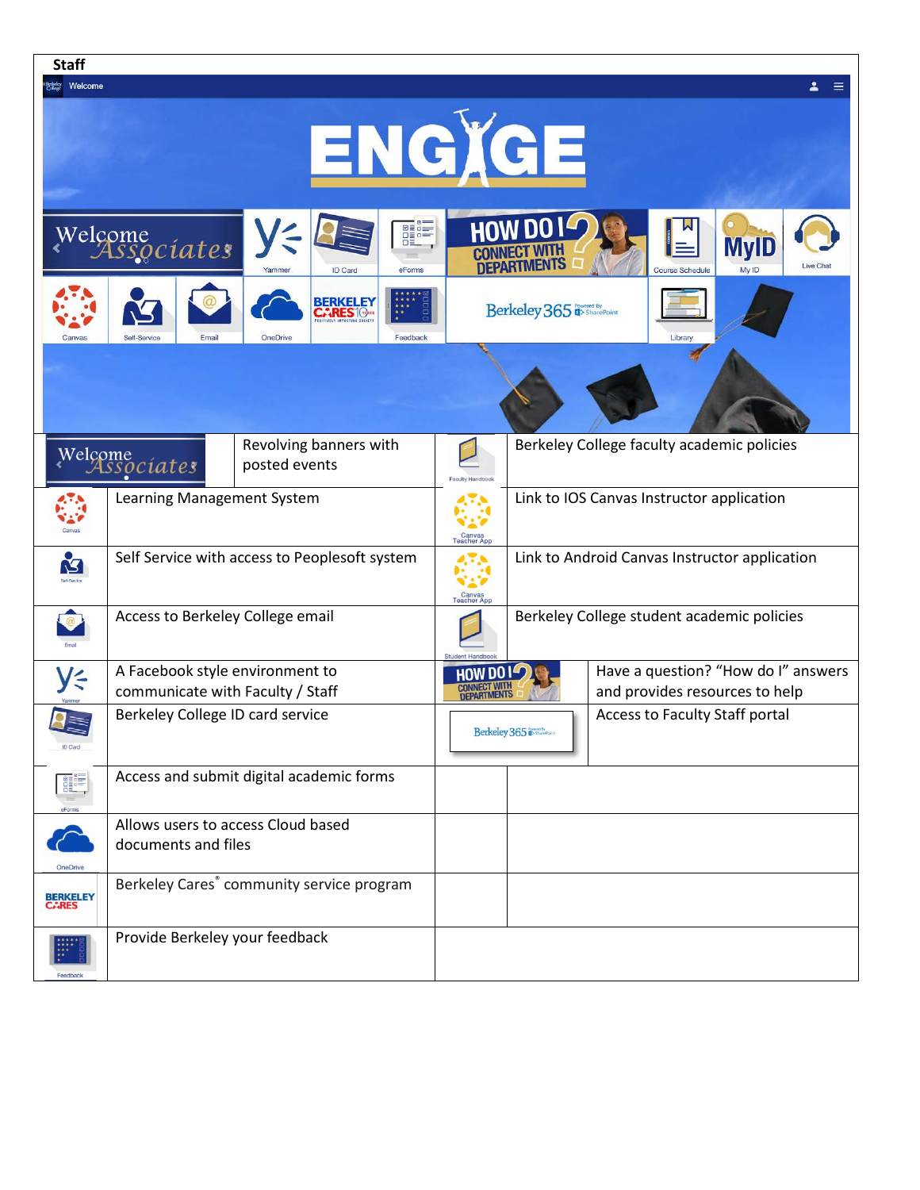| <b>Staff</b>                       |                                          |                                                       |                       |                                                                        |                                     |  |  |  |  |
|------------------------------------|------------------------------------------|-------------------------------------------------------|-----------------------|------------------------------------------------------------------------|-------------------------------------|--|--|--|--|
| Welcome                            |                                          |                                                       |                       |                                                                        |                                     |  |  |  |  |
|                                    |                                          |                                                       |                       |                                                                        |                                     |  |  |  |  |
|                                    |                                          |                                                       |                       |                                                                        |                                     |  |  |  |  |
| ENGXGE                             |                                          |                                                       |                       |                                                                        |                                     |  |  |  |  |
|                                    |                                          |                                                       |                       |                                                                        |                                     |  |  |  |  |
|                                    |                                          |                                                       |                       |                                                                        |                                     |  |  |  |  |
|                                    |                                          |                                                       | <b>EDER</b>           | <b>HOW DO I</b>                                                        |                                     |  |  |  |  |
|                                    | Welcome<br>Associates                    |                                                       |                       | <b>MyID</b>                                                            |                                     |  |  |  |  |
|                                    |                                          | <b>ID Card</b><br>Yammer<br>eForms                    |                       | <b>DEPARTMENTS</b>                                                     | <b>Course Schedule</b>              |  |  |  |  |
|                                    |                                          | <b>BERKELEY</b>                                       |                       |                                                                        |                                     |  |  |  |  |
|                                    |                                          | CARES <sup>10</sup>                                   |                       | Berkeley 365 <sup>Powered By</sup>                                     |                                     |  |  |  |  |
| Canvas                             | Self-Service<br>Email                    | <b>OneDrive</b><br>Feedback                           |                       |                                                                        | Library                             |  |  |  |  |
|                                    |                                          |                                                       |                       |                                                                        |                                     |  |  |  |  |
|                                    |                                          |                                                       |                       |                                                                        |                                     |  |  |  |  |
|                                    |                                          |                                                       |                       |                                                                        |                                     |  |  |  |  |
|                                    |                                          | Revolving banners with                                |                       |                                                                        |                                     |  |  |  |  |
|                                    | Welcome                                  | posted events                                         |                       | Berkeley College faculty academic policies                             |                                     |  |  |  |  |
|                                    |                                          |                                                       | Faculty Handboo       |                                                                        |                                     |  |  |  |  |
|                                    | Learning Management System               |                                                       |                       | Link to IOS Canvas Instructor application                              |                                     |  |  |  |  |
|                                    |                                          |                                                       |                       |                                                                        |                                     |  |  |  |  |
|                                    |                                          | Self Service with access to Peoplesoft system         |                       | Canvas<br>Teacher App<br>Link to Android Canvas Instructor application |                                     |  |  |  |  |
|                                    |                                          |                                                       |                       |                                                                        |                                     |  |  |  |  |
|                                    |                                          |                                                       | Canvas<br>Teacher App |                                                                        |                                     |  |  |  |  |
|                                    | Access to Berkeley College email         |                                                       |                       | Berkeley College student academic policies                             |                                     |  |  |  |  |
|                                    |                                          |                                                       |                       |                                                                        |                                     |  |  |  |  |
|                                    | A Facebook style environment to          |                                                       | HUM DO                |                                                                        | Have a question? "How do I" answers |  |  |  |  |
| y≤                                 | communicate with Faculty / Staff         |                                                       |                       | and provides resources to help<br><b>DEPARTMENTS</b>                   |                                     |  |  |  |  |
| $\overline{q}$                     | Berkeley College ID card service         |                                                       |                       |                                                                        | Access to Faculty Staff portal      |  |  |  |  |
| <b>ID Card</b>                     |                                          |                                                       |                       | Berkeley 365 D SharePoint                                              |                                     |  |  |  |  |
|                                    |                                          |                                                       |                       |                                                                        |                                     |  |  |  |  |
|                                    | Access and submit digital academic forms |                                                       |                       |                                                                        |                                     |  |  |  |  |
|                                    |                                          |                                                       |                       |                                                                        |                                     |  |  |  |  |
| Allows users to access Cloud based |                                          |                                                       |                       |                                                                        |                                     |  |  |  |  |
|                                    | documents and files                      |                                                       |                       |                                                                        |                                     |  |  |  |  |
| OneDrive                           |                                          | Berkeley Cares <sup>®</sup> community service program |                       |                                                                        |                                     |  |  |  |  |
| <b>BERKELEY</b><br>CARES           |                                          |                                                       |                       |                                                                        |                                     |  |  |  |  |
|                                    |                                          |                                                       |                       |                                                                        |                                     |  |  |  |  |
|                                    | Provide Berkeley your feedback           |                                                       |                       |                                                                        |                                     |  |  |  |  |
| Feedback                           |                                          |                                                       |                       |                                                                        |                                     |  |  |  |  |
|                                    |                                          |                                                       |                       |                                                                        |                                     |  |  |  |  |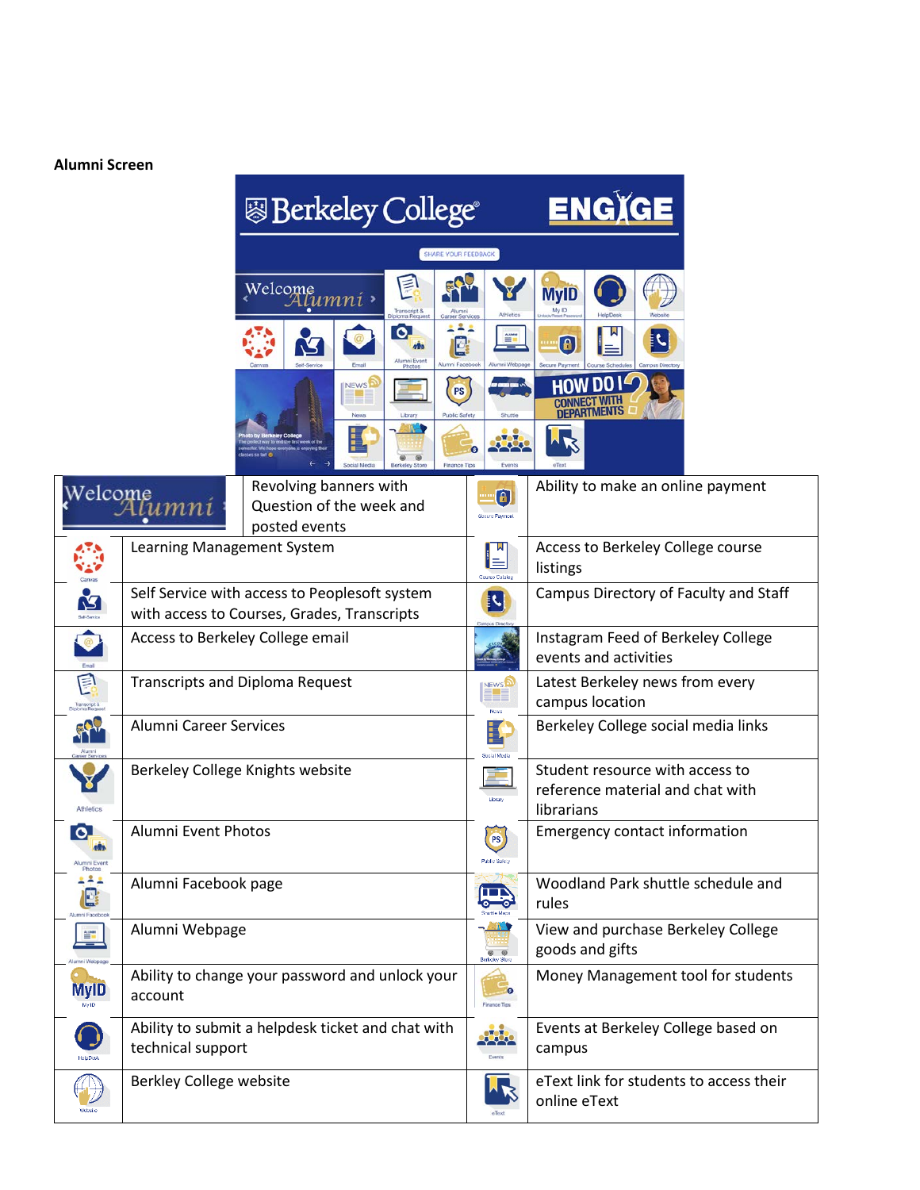## **Alumni Screen**

|                                     |                                                                                              | <b>图 Berkeley College</b> ®                                                    |                                           |                                                         |                                                        | ENGIGE                           |                                                                                   |  |  |
|-------------------------------------|----------------------------------------------------------------------------------------------|--------------------------------------------------------------------------------|-------------------------------------------|---------------------------------------------------------|--------------------------------------------------------|----------------------------------|-----------------------------------------------------------------------------------|--|--|
|                                     |                                                                                              | <b>SHARE YOUR FEEDBACK</b>                                                     |                                           |                                                         |                                                        |                                  |                                                                                   |  |  |
|                                     |                                                                                              | E<br>Welcome<br>Tumni •<br>Transcript &<br>ploma Reque<br><b>Career Servir</b> |                                           |                                                         |                                                        |                                  | <b>MyID</b>                                                                       |  |  |
|                                     |                                                                                              |                                                                                |                                           | [o]<br>Alumni Event<br>Phote                            | 221<br>E                                               | $\frac{A U M M}{\frac{1}{2}}$    | W<br>J.<br>$\left[ \begin{smallmatrix} 0\ 0\end{smallmatrix} \right]$             |  |  |
|                                     |                                                                                              |                                                                                | NEWS <sup>2</sup><br>New:<br>Social Media | Library<br>$\overline{\omega}$<br><b>Berkeley Store</b> | <b>PS</b><br>Public Safety<br>o<br><b>Finance Tips</b> | anno el<br>Shuttle<br>Events     |                                                                                   |  |  |
| Welcome                             | тпи                                                                                          | Revolving banners with<br>Question of the week and<br>posted events            |                                           |                                                         |                                                        | G)                               | Ability to make an online payment                                                 |  |  |
|                                     | Learning Management System                                                                   |                                                                                |                                           |                                                         |                                                        | ⊫<br>Course Colain               | Access to Berkeley College course<br>listings                                     |  |  |
| <u>M</u>                            | Self Service with access to Peoplesoft system<br>with access to Courses, Grades, Transcripts |                                                                                |                                           |                                                         |                                                        | į٢,                              | Campus Directory of Faculty and Staff                                             |  |  |
| $\bullet$                           | Access to Berkeley College email                                                             |                                                                                |                                           |                                                         |                                                        |                                  | Instagram Feed of Berkeley College<br>events and activities                       |  |  |
| 目<br>Transcript &<br>ploma Regu     | <b>Transcripts and Diploma Request</b>                                                       |                                                                                |                                           |                                                         |                                                        | <b>NEWS</b>                      | Latest Berkeley news from every<br>campus location                                |  |  |
| FRI                                 | <b>Alumni Career Services</b>                                                                |                                                                                |                                           |                                                         |                                                        | Ë                                | Berkeley College social media links                                               |  |  |
|                                     | Berkeley College Knights website                                                             |                                                                                |                                           |                                                         |                                                        | Library                          | Student resource with access to<br>reference material and chat with<br>librarians |  |  |
| ြဝ<br>Alumni Event<br>Photos        | Alumni Event Photos                                                                          |                                                                                |                                           |                                                         |                                                        | <b>PS</b><br>Public Salety       | <b>Emergency contact information</b>                                              |  |  |
| 222<br>$\mathbf{E}$<br>mni Facel    | Alumni Facebook page                                                                         |                                                                                |                                           |                                                         |                                                        | m                                | Woodland Park shuttle schedule and<br>rules                                       |  |  |
| $\stackrel{\text{AlMMN}}{=}\;$<br>═ | Alumni Webpage                                                                               |                                                                                |                                           |                                                         |                                                        | $\circ$ $\circ$<br>Berkeley Stor | View and purchase Berkeley College<br>goods and gifts                             |  |  |
| <b>MyID</b>                         | Ability to change your password and unlock your<br>account                                   |                                                                                |                                           |                                                         |                                                        | <b>Finance Tips</b>              | Money Management tool for students                                                |  |  |
|                                     | Ability to submit a helpdesk ticket and chat with<br>technical support                       |                                                                                |                                           |                                                         |                                                        | <b>LOL</b>                       | Events at Berkeley College based on<br>campus                                     |  |  |
|                                     | Berkley College website                                                                      |                                                                                |                                           |                                                         |                                                        |                                  | eText link for students to access their<br>online eText                           |  |  |